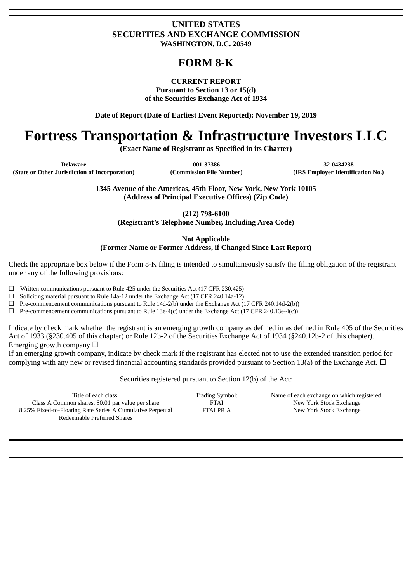# **UNITED STATES SECURITIES AND EXCHANGE COMMISSION WASHINGTON, D.C. 20549**

# **FORM 8-K**

# **CURRENT REPORT**

**Pursuant to Section 13 or 15(d) of the Securities Exchange Act of 1934**

**Date of Report (Date of Earliest Event Reported): November 19, 2019**

# **Fortress Transportation & Infrastructure Investors LLC**

**(Exact Name of Registrant as Specified in its Charter)**

**(State or Other Jurisdiction of Incorporation) (Commission File Number) (IRS Employer Identification No.)**

**Delaware 001-37386 32-0434238**

**1345 Avenue of the Americas, 45th Floor, New York, New York 10105 (Address of Principal Executive Offices) (Zip Code)**

**(212) 798-6100**

**(Registrant's Telephone Number, Including Area Code)**

**Not Applicable (Former Name or Former Address, if Changed Since Last Report)**

Check the appropriate box below if the Form 8-K filing is intended to simultaneously satisfy the filing obligation of the registrant under any of the following provisions:

 $\Box$  Written communications pursuant to Rule 425 under the Securities Act (17 CFR 230.425)

☐ Soliciting material pursuant to Rule 14a-12 under the Exchange Act (17 CFR 240.14a-12)

 $\Box$  Pre-commencement communications pursuant to Rule 14d-2(b) under the Exchange Act (17 CFR 240.14d-2(b))

 $\Box$  Pre-commencement communications pursuant to Rule 13e-4(c) under the Exchange Act (17 CFR 240.13e-4(c))

Indicate by check mark whether the registrant is an emerging growth company as defined in as defined in Rule 405 of the Securities Act of 1933 (§230.405 of this chapter) or Rule 12b-2 of the Securities Exchange Act of 1934 (§240.12b-2 of this chapter). Emerging growth company  $\Box$ 

If an emerging growth company, indicate by check mark if the registrant has elected not to use the extended transition period for complying with any new or revised financial accounting standards provided pursuant to Section 13(a) of the Exchange Act.  $\Box$ 

Securities registered pursuant to Section 12(b) of the Act:

Class A Common shares, \$0.01 par value per share FTAI FTAI New York Stock Exchange 8.25% Fixed-to-Floating Rate Series A Cumulative Perpetual Redeemable Preferred Shares

Title of each class: Trading Symbol: Name of each exchange on which registered: FTAI PR A New York Stock Exchange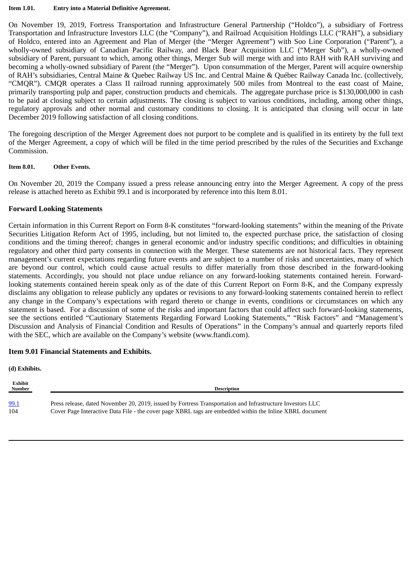# **Item 1.01. Entry into a Material Definitive Agreement.**

On November 19, 2019, Fortress Transportation and Infrastructure General Partnership ("Holdco"), a subsidiary of Fortress Transportation and Infrastructure Investors LLC (the "Company"), and Railroad Acquisition Holdings LLC ("RAH"), a subsidiary of Holdco, entered into an Agreement and Plan of Merger (the "Merger Agreement") with Soo Line Corporation ("Parent"), a wholly-owned subsidiary of Canadian Pacific Railway, and Black Bear Acquisition LLC ("Merger Sub"), a wholly-owned subsidiary of Parent, pursuant to which, among other things, Merger Sub will merge with and into RAH with RAH surviving and becoming a wholly-owned subsidiary of Parent (the "Merger"). Upon consummation of the Merger, Parent will acquire ownership of RAH's subsidiaries, Central Maine & Quebec Railway US Inc. and Central Maine & Québec Railway Canada Inc. (collectively, "CMQR"). CMQR operates a Class II railroad running approximately 500 miles from Montreal to the east coast of Maine, primarily transporting pulp and paper, construction products and chemicals. The aggregate purchase price is \$130,000,000 in cash to be paid at closing subject to certain adjustments. The closing is subject to various conditions, including, among other things, regulatory approvals and other normal and customary conditions to closing. It is anticipated that closing will occur in late December 2019 following satisfaction of all closing conditions.

The foregoing description of the Merger Agreement does not purport to be complete and is qualified in its entirety by the full text of the Merger Agreement, a copy of which will be filed in the time period prescribed by the rules of the Securities and Exchange Commission.

# **Item 8.01. Other Events.**

On November 20, 2019 the Company issued a press release announcing entry into the Merger Agreement. A copy of the press release is attached hereto as Exhibit 99.1 and is incorporated by reference into this Item 8.01.

# **Forward Looking Statements**

Certain information in this Current Report on Form 8-K constitutes "forward-looking statements" within the meaning of the Private Securities Litigation Reform Act of 1995, including, but not limited to, the expected purchase price, the satisfaction of closing conditions and the timing thereof; changes in general economic and/or industry specific conditions; and difficulties in obtaining regulatory and other third party consents in connection with the Merger. These statements are not historical facts. They represent management's current expectations regarding future events and are subject to a number of risks and uncertainties, many of which are beyond our control, which could cause actual results to differ materially from those described in the forward-looking statements. Accordingly, you should not place undue reliance on any forward-looking statements contained herein. Forwardlooking statements contained herein speak only as of the date of this Current Report on Form 8-K, and the Company expressly disclaims any obligation to release publicly any updates or revisions to any forward-looking statements contained herein to reflect any change in the Company's expectations with regard thereto or change in events, conditions or circumstances on which any statement is based. For a discussion of some of the risks and important factors that could affect such forward-looking statements, see the sections entitled "Cautionary Statements Regarding Forward Looking Statements," "Risk Factors" and "Management's Discussion and Analysis of Financial Condition and Results of Operations" in the Company's annual and quarterly reports filed with the SEC, which are available on the Company's website (www.ftandi.com).

# **Item 9.01 Financial Statements and Exhibits.**

**(d) Exhibits.**

| Exhibit<br><b>Number</b> | <b>Description</b>                                                                                         |
|--------------------------|------------------------------------------------------------------------------------------------------------|
| 99.1                     | Press release, dated November 20, 2019, issued by Fortress Transportation and Infrastructure Investors LLC |
| 104                      | Cover Page Interactive Data File - the cover page XBRL tags are embedded within the Inline XBRL document   |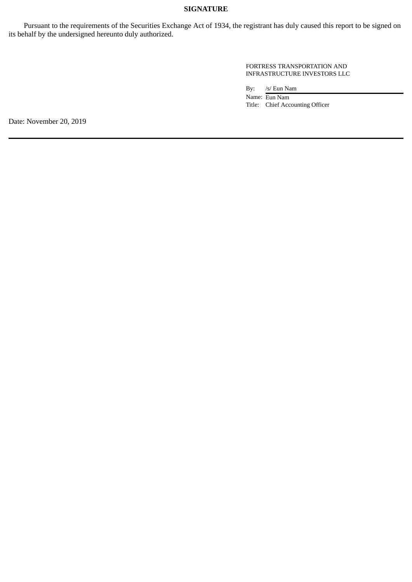# **SIGNATURE**

Pursuant to the requirements of the Securities Exchange Act of 1934, the registrant has duly caused this report to be signed on its behalf by the undersigned hereunto duly authorized.

> FORTRESS TRANSPORTATION AND INFRASTRUCTURE INVESTORS LLC

By: /s/ Eun Nam

Name: Eun Nam Title: Chief Accounting Officer

Date: November 20, 2019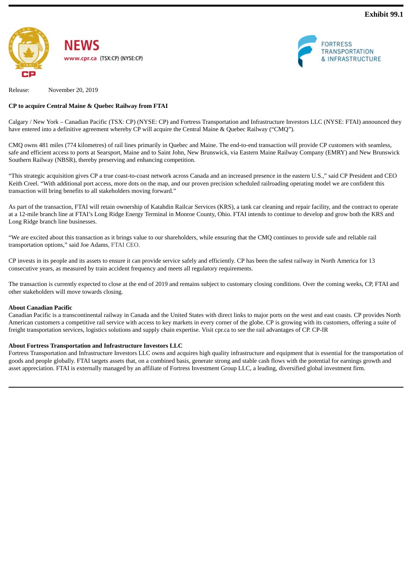<span id="page-3-0"></span>



Release: November 20, 2019

#### **CP to acquire Central Maine & Quebec Railway from FTAI**

Calgary / New York – Canadian Pacific (TSX: CP) (NYSE: CP) and Fortress Transportation and Infrastructure Investors LLC (NYSE: FTAI) announced they have entered into a definitive agreement whereby CP will acquire the Central Maine & Quebec Railway ("CMQ").

CMQ owns 481 miles (774 kilometres) of rail lines primarily in Quebec and Maine. The end-to-end transaction will provide CP customers with seamless, safe and efficient access to ports at Searsport, Maine and to Saint John, New Brunswick, via Eastern Maine Railway Company (EMRY) and New Brunswick Southern Railway (NBSR), thereby preserving and enhancing competition.

"This strategic acquisition gives CP a true coast-to-coast network across Canada and an increased presence in the eastern U.S.," said CP President and CEO Keith Creel. "With additional port access, more dots on the map, and our proven precision scheduled railroading operating model we are confident this transaction will bring benefits to all stakeholders moving forward."

As part of the transaction, FTAI will retain ownership of Katahdin Railcar Services (KRS), a tank car cleaning and repair facility, and the contract to operate at a 12-mile branch line at FTAI's Long Ridge Energy Terminal in Monroe County, Ohio. FTAI intends to continue to develop and grow both the KRS and Long Ridge branch line businesses.

"We are excited about this transaction as it brings value to our shareholders, while ensuring that the CMQ continues to provide safe and reliable rail transportation options," said Joe Adams, FTAI CEO.

CP invests in its people and its assets to ensure it can provide service safely and efficiently. CP has been the safest railway in North America for 13 consecutive years, as measured by train accident frequency and meets all regulatory requirements.

The transaction is currently expected to close at the end of 2019 and remains subject to customary closing conditions. Over the coming weeks, CP, FTAI and other stakeholders will move towards closing.

#### **About Canadian Pacific**

Canadian Pacific is a transcontinental railway in Canada and the United States with direct links to major ports on the west and east coasts. CP provides North American customers a competitive rail service with access to key markets in every corner of the globe. CP is growing with its customers, offering a suite of freight transportation services, logistics solutions and supply chain expertise. Visit cpr.ca to see the rail advantages of CP. CP-IR

#### **About Fortress Transportation and Infrastructure Investors LLC**

Fortress Transportation and Infrastructure Investors LLC owns and acquires high quality infrastructure and equipment that is essential for the transportation of goods and people globally. FTAI targets assets that, on a combined basis, generate strong and stable cash flows with the potential for earnings growth and asset appreciation. FTAI is externally managed by an affiliate of Fortress Investment Group LLC, a leading, diversified global investment firm.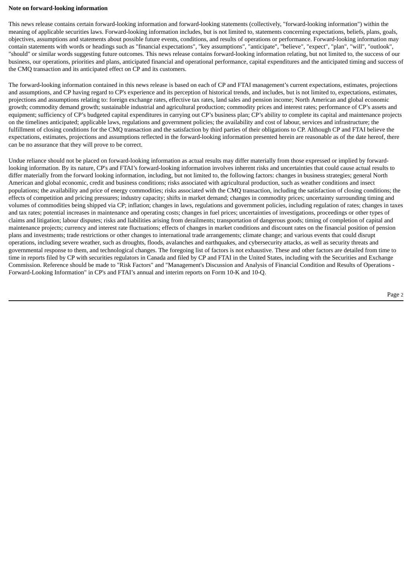#### **Note on forward-looking information**

This news release contains certain forward-looking information and forward-looking statements (collectively, "forward-looking information") within the meaning of applicable securities laws. Forward-looking information includes, but is not limited to, statements concerning expectations, beliefs, plans, goals, objectives, assumptions and statements about possible future events, conditions, and results of operations or performance. Forward-looking information may contain statements with words or headings such as "financial expectations", "key assumptions", "anticipate", "believe", "expect", "plan", "will", "outlook", "should" or similar words suggesting future outcomes. This news release contains forward-looking information relating, but not limited to, the success of our business, our operations, priorities and plans, anticipated financial and operational performance, capital expenditures and the anticipated timing and success of the CMQ transaction and its anticipated effect on CP and its customers.

The forward-looking information contained in this news release is based on each of CP and FTAI management's current expectations, estimates, projections and assumptions, and CP having regard to CP's experience and its perception of historical trends, and includes, but is not limited to, expectations, estimates, projections and assumptions relating to: foreign exchange rates, effective tax rates, land sales and pension income; North American and global economic growth; commodity demand growth; sustainable industrial and agricultural production; commodity prices and interest rates; performance of CP's assets and equipment; sufficiency of CP's budgeted capital expenditures in carrying out CP's business plan; CP's ability to complete its capital and maintenance projects on the timelines anticipated; applicable laws, regulations and government policies; the availability and cost of labour, services and infrastructure; the fulfillment of closing conditions for the CMQ transaction and the satisfaction by third parties of their obligations to CP. Although CP and FTAI believe the expectations, estimates, projections and assumptions reflected in the forward-looking information presented herein are reasonable as of the date hereof, there can be no assurance that they will prove to be correct.

Undue reliance should not be placed on forward-looking information as actual results may differ materially from those expressed or implied by forwardlooking information. By its nature, CP's and FTAI's forward-looking information involves inherent risks and uncertainties that could cause actual results to differ materially from the forward looking information, including, but not limited to, the following factors: changes in business strategies; general North American and global economic, credit and business conditions; risks associated with agricultural production, such as weather conditions and insect populations; the availability and price of energy commodities; risks associated with the CMQ transaction, including the satisfaction of closing conditions; the effects of competition and pricing pressures; industry capacity; shifts in market demand; changes in commodity prices; uncertainty surrounding timing and volumes of commodities being shipped via CP; inflation; changes in laws, regulations and government policies, including regulation of rates; changes in taxes and tax rates; potential increases in maintenance and operating costs; changes in fuel prices; uncertainties of investigations, proceedings or other types of claims and litigation; labour disputes; risks and liabilities arising from derailments; transportation of dangerous goods; timing of completion of capital and maintenance projects; currency and interest rate fluctuations; effects of changes in market conditions and discount rates on the financial position of pension plans and investments; trade restrictions or other changes to international trade arrangements; climate change; and various events that could disrupt operations, including severe weather, such as droughts, floods, avalanches and earthquakes, and cybersecurity attacks, as well as security threats and governmental response to them, and technological changes. The foregoing list of factors is not exhaustive. These and other factors are detailed from time to time in reports filed by CP with securities regulators in Canada and filed by CP and FTAI in the United States, including with the Securities and Exchange Commission. Reference should be made to "Risk Factors" and "Management's Discussion and Analysis of Financial Condition and Results of Operations - Forward-Looking Information" in CP's and FTAI's annual and interim reports on Form 10-K and 10-Q.